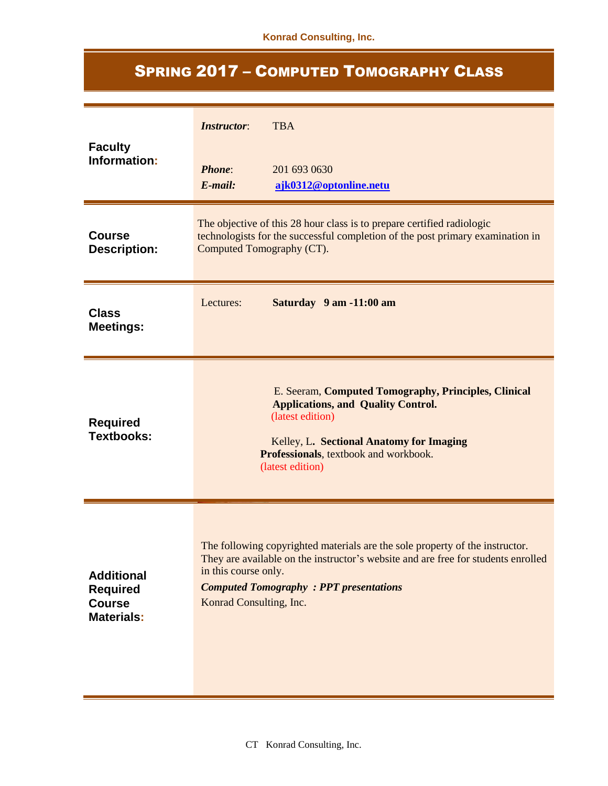## SPRING 2017 – COMPUTED TOMOGRAPHY CLASS

| <b>Faculty</b><br>Information:                                             | <b>TBA</b><br><b>Instructor:</b><br><b>Phone:</b><br>201 693 0630<br>$E$ -mail:<br>ajk0312@optonline.netu                                                                                                                                                              |  |
|----------------------------------------------------------------------------|------------------------------------------------------------------------------------------------------------------------------------------------------------------------------------------------------------------------------------------------------------------------|--|
| <b>Course</b><br><b>Description:</b>                                       | The objective of this 28 hour class is to prepare certified radiologic<br>technologists for the successful completion of the post primary examination in<br>Computed Tomography (CT).                                                                                  |  |
| <b>Class</b><br><b>Meetings:</b>                                           | Saturday 9 am -11:00 am<br>Lectures:                                                                                                                                                                                                                                   |  |
| <b>Required</b><br><b>Textbooks:</b>                                       | E. Seeram, Computed Tomography, Principles, Clinical<br><b>Applications, and Quality Control.</b><br>(latest edition)<br>Kelley, L. Sectional Anatomy for Imaging<br>Professionals, textbook and workbook.<br>(latest edition)                                         |  |
| <b>Additional</b><br><b>Required</b><br><b>Course</b><br><b>Materials:</b> | The following copyrighted materials are the sole property of the instructor.<br>They are available on the instructor's website and are free for students enrolled<br>in this course only.<br><b>Computed Tomography : PPT presentations</b><br>Konrad Consulting, Inc. |  |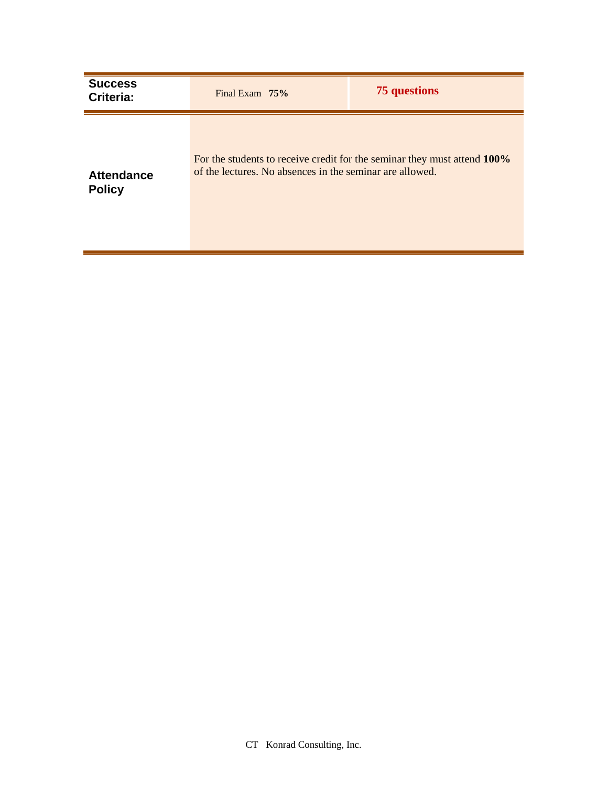| <b>Success</b><br>Criteria:        | Final Exam $75%$                                         | 75 questions                                                             |
|------------------------------------|----------------------------------------------------------|--------------------------------------------------------------------------|
| <b>Attendance</b><br><b>Policy</b> | of the lectures. No absences in the seminar are allowed. | For the students to receive credit for the seminar they must attend 100% |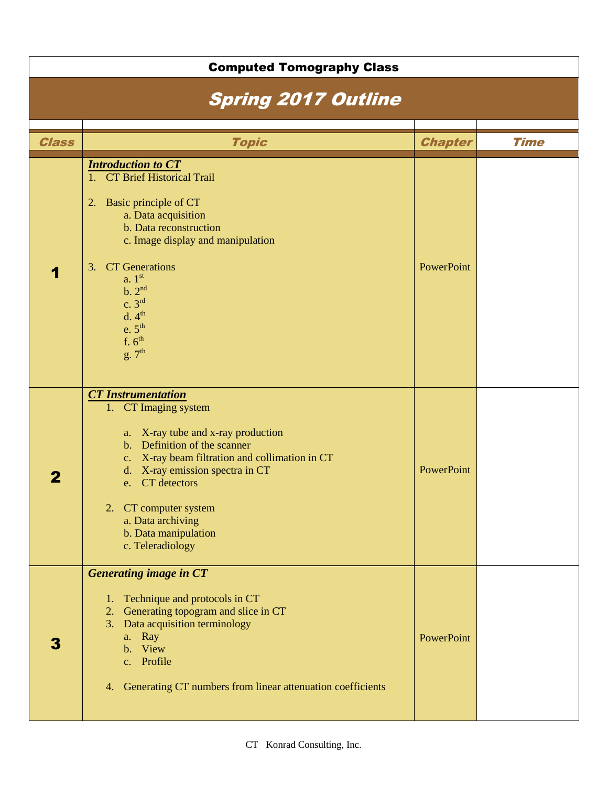| <b>Computed Tomography Class</b> |                                                                                                                                                                                                                                                                                                                                              |                |             |  |
|----------------------------------|----------------------------------------------------------------------------------------------------------------------------------------------------------------------------------------------------------------------------------------------------------------------------------------------------------------------------------------------|----------------|-------------|--|
| <b>Spring 2017 Outline</b>       |                                                                                                                                                                                                                                                                                                                                              |                |             |  |
|                                  |                                                                                                                                                                                                                                                                                                                                              |                |             |  |
| <b>Class</b>                     | <b>Topic</b>                                                                                                                                                                                                                                                                                                                                 | <b>Chapter</b> | <b>Time</b> |  |
|                                  | <b>Introduction to CT</b><br>1. CT Brief Historical Trail<br>Basic principle of CT<br>2.<br>a. Data acquisition<br>b. Data reconstruction<br>c. Image display and manipulation<br>3. CT Generations<br>a. 1 <sup>st</sup><br>b. 2 <sup>nd</sup><br>c. 3 <sup>rd</sup><br>d.4 <sup>th</sup><br>e.5 <sup>th</sup><br>f. $6^{th}$<br>$g.7^{th}$ | PowerPoint     |             |  |
|                                  | <b>CT</b> Instrumentation<br>1. CT Imaging system<br>a. X-ray tube and x-ray production<br>b. Definition of the scanner<br>X-ray beam filtration and collimation in CT<br>$c_{\cdot}$<br>d. X-ray emission spectra in CT<br>CT detectors<br>e.<br>2. CT computer system<br>a. Data archiving<br>b. Data manipulation<br>c. Teleradiology     | PowerPoint     |             |  |
| 3                                | <b>Generating image in CT</b><br>Technique and protocols in CT<br>1.<br>2. Generating topogram and slice in CT<br>3. Data acquisition terminology<br>a. Ray<br>b. View<br>c. Profile<br>4. Generating CT numbers from linear attenuation coefficients                                                                                        | PowerPoint     |             |  |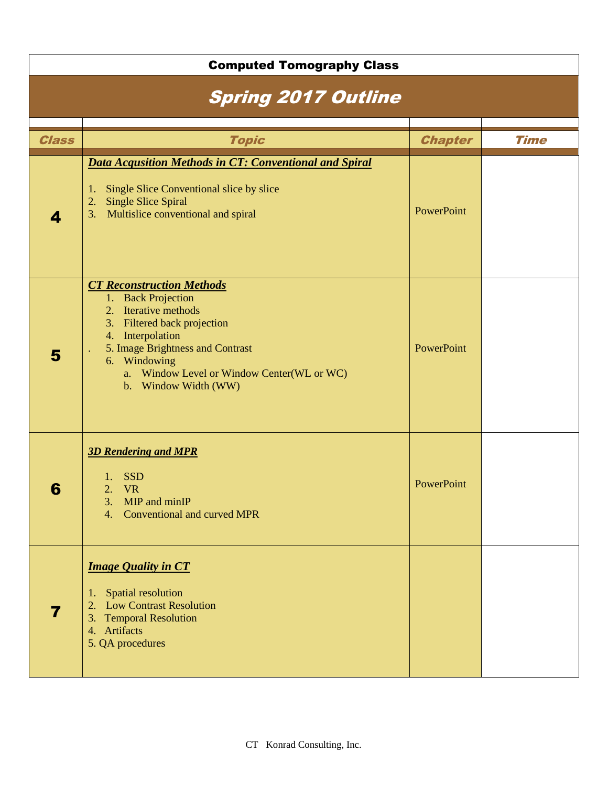| <b>Computed Tomography Class</b> |                                                                                                                                                                                                                                                             |                |             |
|----------------------------------|-------------------------------------------------------------------------------------------------------------------------------------------------------------------------------------------------------------------------------------------------------------|----------------|-------------|
| <b>Spring 2017 Outline</b>       |                                                                                                                                                                                                                                                             |                |             |
|                                  |                                                                                                                                                                                                                                                             |                |             |
| <b>Class</b>                     | <b>Topic</b>                                                                                                                                                                                                                                                | <b>Chapter</b> | <b>Time</b> |
| 4                                | <b>Data Acqusition Methods in CT: Conventional and Spiral</b><br>Single Slice Conventional slice by slice<br>1.<br><b>Single Slice Spiral</b><br>2.<br>Multislice conventional and spiral<br>3.                                                             | PowerPoint     |             |
| 5                                | <b>CT Reconstruction Methods</b><br>1. Back Projection<br>2. Iterative methods<br>3. Filtered back projection<br>4. Interpolation<br>5. Image Brightness and Contrast<br>6. Windowing<br>a. Window Level or Window Center(WL or WC)<br>b. Window Width (WW) | PowerPoint     |             |
| 6                                | <b>3D Rendering and MPR</b><br><b>SSD</b><br>2. VR<br>MIP and minIP<br>3.<br><b>Conventional and curved MPR</b><br>4.                                                                                                                                       | PowerPoint     |             |
| $\overline{\mathbf{7}}$          | <b>Image Quality in CT</b><br>Spatial resolution<br>1.<br>2. Low Contrast Resolution<br>3. Temporal Resolution<br>4. Artifacts<br>5. QA procedures                                                                                                          |                |             |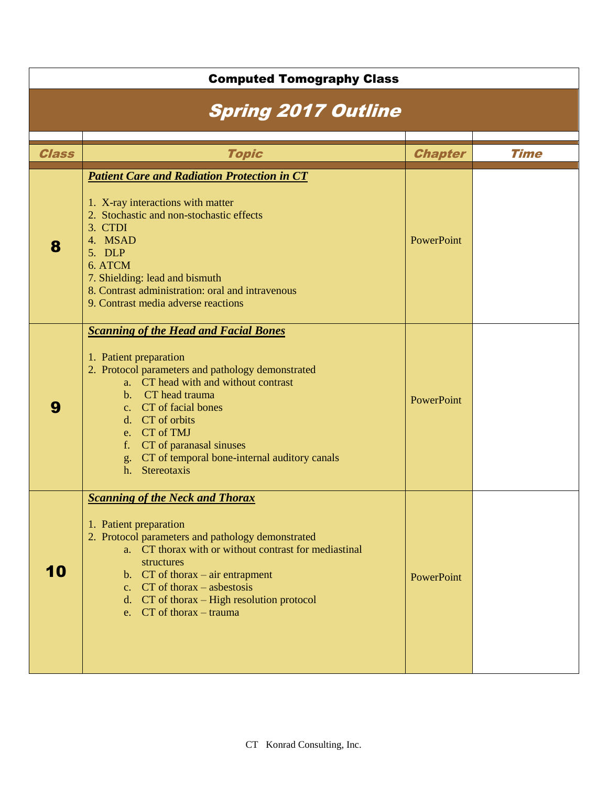|        | <b>Computed Tomography Class</b>                                                                                                                                                                                                                                                                                                                                                                                                                                                                                                                                                                                                                                                   |                          |             |  |
|--------|------------------------------------------------------------------------------------------------------------------------------------------------------------------------------------------------------------------------------------------------------------------------------------------------------------------------------------------------------------------------------------------------------------------------------------------------------------------------------------------------------------------------------------------------------------------------------------------------------------------------------------------------------------------------------------|--------------------------|-------------|--|
|        | <b>Spring 2017 Outline</b>                                                                                                                                                                                                                                                                                                                                                                                                                                                                                                                                                                                                                                                         |                          |             |  |
|        |                                                                                                                                                                                                                                                                                                                                                                                                                                                                                                                                                                                                                                                                                    |                          |             |  |
| Class  | <b>Topic</b>                                                                                                                                                                                                                                                                                                                                                                                                                                                                                                                                                                                                                                                                       | <b>Chapter</b>           | <b>Time</b> |  |
| 8<br>9 | <b>Patient Care and Radiation Protection in CT</b><br>1. X-ray interactions with matter<br>2. Stochastic and non-stochastic effects<br>3. CTDI<br>4. MSAD<br>5. DLP<br>6. ATCM<br>7. Shielding: lead and bismuth<br>8. Contrast administration: oral and intravenous<br>9. Contrast media adverse reactions<br><b>Scanning of the Head and Facial Bones</b><br>1. Patient preparation<br>2. Protocol parameters and pathology demonstrated<br>a. CT head with and without contrast<br>b. CT head trauma<br>c. CT of facial bones<br>d. CT of orbits<br>e. CT of TMJ<br>CT of paranasal sinuses<br>$f_{\rm *}$<br>g. CT of temporal bone-internal auditory canals<br>h. Stereotaxis | PowerPoint<br>PowerPoint |             |  |
| 10     | <b>Scanning of the Neck and Thorax</b><br>1. Patient preparation<br>2. Protocol parameters and pathology demonstrated<br>a. CT thorax with or without contrast for mediastinal<br>structures<br>b. $CT$ of thorax – air entrapment<br>c. $CT$ of thorax – asbestosis<br>d. CT of thorax – High resolution protocol<br>e. $CT$ of thorax – trauma                                                                                                                                                                                                                                                                                                                                   | PowerPoint               |             |  |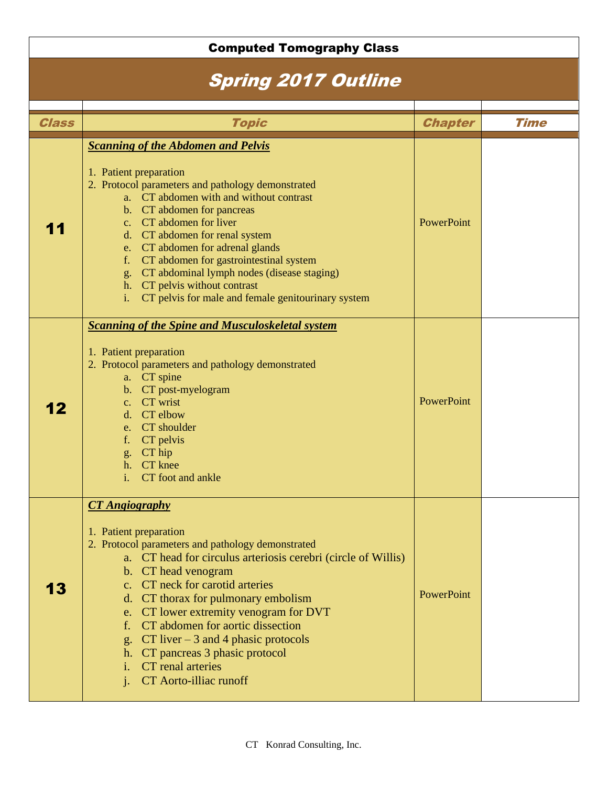## Computed Tomography Class Spring 2017 Outline Class National Chapter Time Chapter Time Chapter Time Chapter Time 11 *Scanning of the Abdomen and Pelvis* 1. Patient preparation 2. Protocol parameters and pathology demonstrated a. CT abdomen with and without contrast b. CT abdomen for pancreas c. CT abdomen for liver d. CT abdomen for renal system e. CT abdomen for adrenal glands f. CT abdomen for gastrointestinal system g. CT abdominal lymph nodes (disease staging) h. CT pelvis without contrast i. CT pelvis for male and female genitourinary system **PowerPoint** 12 *Scanning of the Spine and Musculoskeletal system* 1. Patient preparation 2. Protocol parameters and pathology demonstrated a. CT spine b. CT post-myelogram c. CT wrist d. CT elbow e. CT shoulder f. CT pelvis g. CT hip h. CT knee i. CT foot and ankle PowerPoint 13 *CT Angiography* 1. Patient preparation 2. Protocol parameters and pathology demonstrated a. CT head for circulus arteriosis cerebri (circle of Willis) b. CT head venogram c. CT neck for carotid arteries d. CT thorax for pulmonary embolism e. CT lower extremity venogram for DVT f. CT abdomen for aortic dissection g. CT liver – 3 and 4 phasic protocols h. CT pancreas 3 phasic protocol i. CT renal arteries j. CT Aorto-illiac runoff PowerPoint